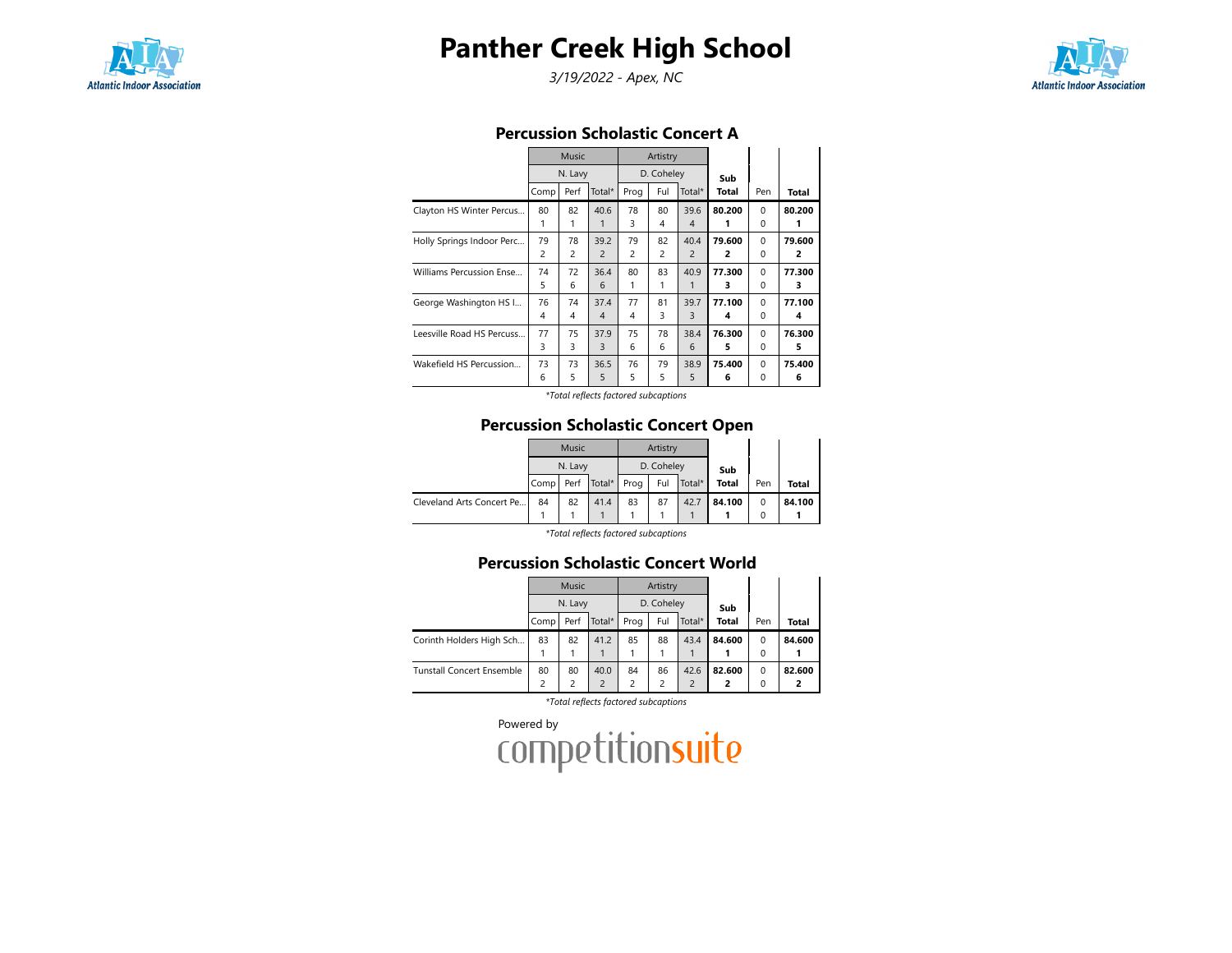

# Panther Creek High School

3/19/2022 - Apex, NC



### Percussion Scholastic Concert A

|                           |                | Music          |                |                | Artistry       |                        |             |                         |              |
|---------------------------|----------------|----------------|----------------|----------------|----------------|------------------------|-------------|-------------------------|--------------|
|                           |                | N. Lavy        |                |                | D. Coheley     |                        | Sub         |                         |              |
|                           | Comp           | Perf           | Total*         | Prog           | Ful            | Total*                 | Total       | Pen                     | <b>Total</b> |
| Clayton HS Winter Percus  | 80<br>1        | 82<br>1        | 40.6<br>1      | 78<br>3        | 80<br>4        | 39.6<br>$\overline{4}$ | 80.200<br>1 | $\Omega$<br>$\mathbf 0$ | 80.200       |
| Holly Springs Indoor Perc | 79             | 78             | 39.2           | 79             | 82             | 40.4                   | 79.600      | $\Omega$                | 79.600       |
|                           | $\overline{c}$ | $\overline{c}$ | $\overline{c}$ | $\overline{c}$ | $\overline{c}$ | $\overline{2}$         | 2           | $\Omega$                | 2            |
| Williams Percussion Ense  | 74             | 72             | 36.4           | 80             | 83             | 40.9                   | 77.300      | $\Omega$                | 77.300       |
|                           | 5              | 6              | 6              | 1              | 1              | 1                      | 3           | $\Omega$                | 3            |
| George Washington HS I    | 76             | 74             | 37.4           | 77             | 81             | 39.7                   | 77.100      | $\Omega$                | 77.100       |
|                           | 4              | 4              | $\overline{4}$ | 4              | 3              | 3                      | 4           | $\Omega$                | 4            |
| Leesville Road HS Percuss | 77             | 75             | 37.9           | 75             | 78             | 38.4                   | 76.300      | $\Omega$                | 76.300       |
|                           | 3              | 3              | 3              | 6              | 6              | 6                      | 5           | $\Omega$                | 5            |
| Wakefield HS Percussion   | 73             | 73             | 36.5           | 76             | 79             | 38.9                   | 75.400      | $\Omega$                | 75.400       |
|                           | 6              | 5              | 5              | 5              | 5              | 5                      | 6           | 0                       | 6            |

\*Total reflects factored subcaptions

## Percussion Scholastic Concert Open

|                           |      | Music   |        |      | Artistry   |        |        |     |        |
|---------------------------|------|---------|--------|------|------------|--------|--------|-----|--------|
|                           |      | N. Lavy |        |      | D. Coheley |        | Sub    |     |        |
|                           | Comp | Perf    | Total* | Prog | Ful        | Total* | Total  | Pen | Total  |
| Cleveland Arts Concert Pe | 84   | 82      | 41.4   | 83   | 87         | 42.7   | 84.100 | 0   | 84.100 |
|                           |      |         |        |      |            |        |        | 0   |        |

\*Total reflects factored subcaptions

## Percussion Scholastic Concert World

|                                  |      | Music   |        |                         | Artistry   |               |              |          |        |
|----------------------------------|------|---------|--------|-------------------------|------------|---------------|--------------|----------|--------|
|                                  |      | N. Lavy |        |                         | D. Coheley |               | Sub          |          |        |
|                                  | Comp | Perf    | Total* | Prog                    | Ful        | Total*        | <b>Total</b> | Pen      | Total  |
| Corinth Holders High Sch         | 83   | 82      | 41.2   | 85                      | 88         | 43.4          | 84.600       | $\Omega$ | 84.600 |
|                                  |      |         |        |                         |            |               |              | 0        |        |
| <b>Tunstall Concert Ensemble</b> | 80   | 80      | 40.0   | 84                      | 86         | 42.6          | 82.600       | $\Omega$ | 82.600 |
|                                  |      |         |        | $\overline{\mathbf{c}}$ | 2          | $\mathcal{P}$ | 2            | 0        |        |

\*Total reflects factored subcaptions

Powered by<br>COMPetitionsuite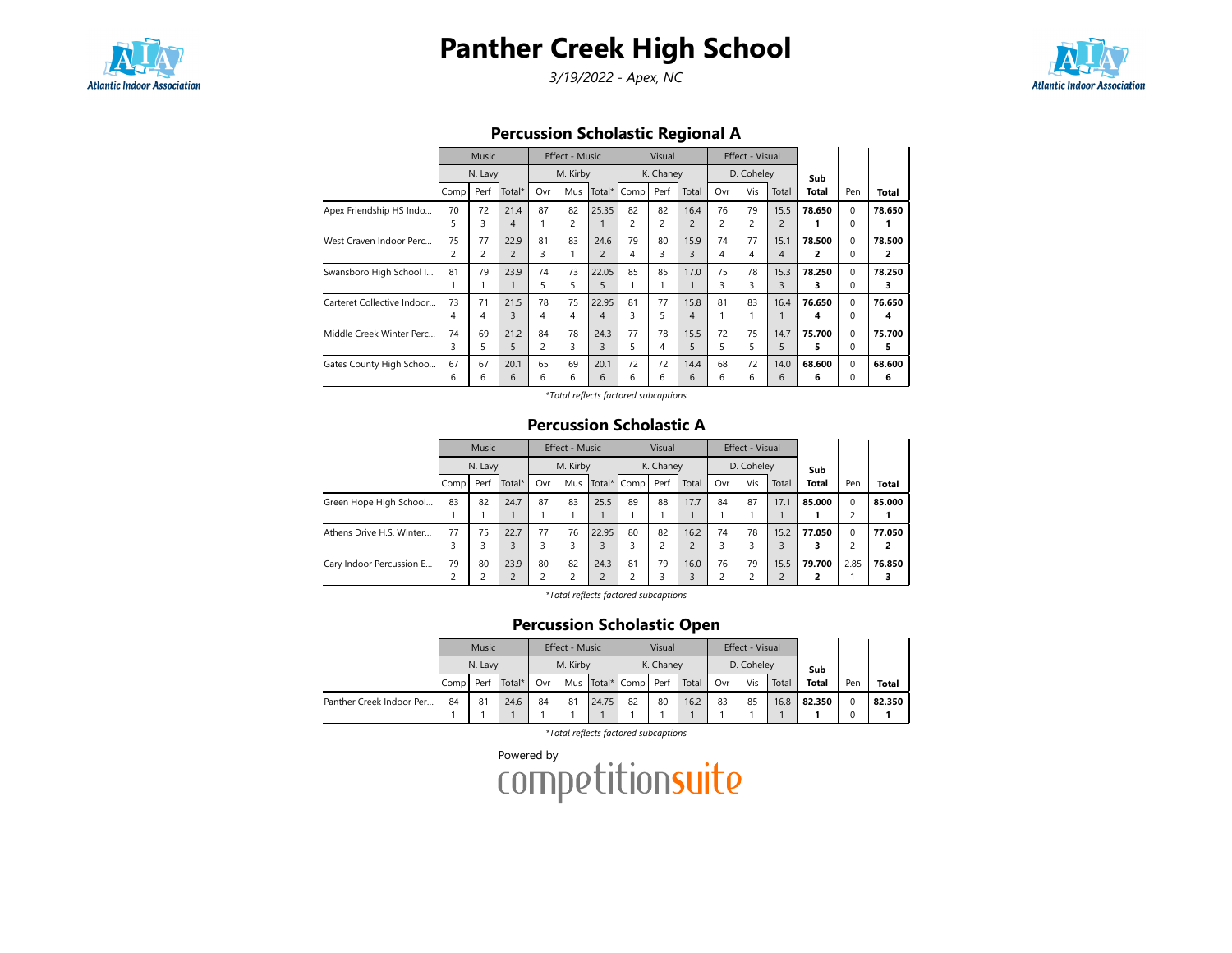

# Panther Creek High School

3/19/2022 - Apex, NC



## Percussion Scholastic Regional A

|                            |      | <b>Music</b> |                |                | Effect - Music |                |                | Visual    |                |     | Effect - Visual |                |        |          |                |
|----------------------------|------|--------------|----------------|----------------|----------------|----------------|----------------|-----------|----------------|-----|-----------------|----------------|--------|----------|----------------|
|                            |      | N. Lavy      |                |                | M. Kirby       |                |                | K. Chaney |                |     | D. Coheley      |                | Sub    |          |                |
|                            | Comp | Perf         | Total*         | Ovr            | Mus            | Total*         | Comp           | Perf      | Total          | Ovr | Vis             | Total          | Total  | Pen      | <b>Total</b>   |
| Apex Friendship HS Indo    | 70   | 72           | 21.4           | 87             | 82             | 25.35          | 82             | 82        | 16.4           | 76  | 79              | 15.5           | 78.650 | $\Omega$ | 78.650         |
|                            | 5    | 3            | $\overline{4}$ | 1              | 2              | 1              | $\overline{c}$ | 2         | $\overline{2}$ | 2   | 2               | $\overline{2}$ | 1      | 0        | 1              |
| West Craven Indoor Perc    | 75   | 77           | 22.9           | 81             | 83             | 24.6           | 79             | 80        | 15.9           | 74  | 77              | 15.1           | 78.500 | $\Omega$ | 78.500         |
|                            | 2    | 2            | $\overline{2}$ | 3              |                | $\overline{2}$ | 4              | 3         | 3              | 4   | 4               | 4              | 2      | 0        | $\overline{2}$ |
| Swansboro High School I    | 81   | 79           | 23.9           | 74             | 73             | 22.05          | 85             | 85        | 17.0           | 75  | 78              | 15.3           | 78.250 | $\Omega$ | 78.250         |
|                            |      |              |                | 5              | 5              | 5              |                |           |                | 3   | 3               | 3              | з      | $\Omega$ | 3              |
| Carteret Collective Indoor | 73   | 71           | 21.5           | 78             | 75             | 22.95          | 81             | 77        | 15.8           | 81  | 83              | 16.4           | 76.650 | $\Omega$ | 76.650         |
|                            | 4    | 4            | 3              | 4              | 4              | $\overline{4}$ | 3              | 5         | $\overline{4}$ |     |                 |                | 4      | 0        | 4              |
| Middle Creek Winter Perc   | 74   | 69           | 21.2           | 84             | 78             | 24.3           | 77             | 78        | 15.5           | 72  | 75              | 14.7           | 75.700 | $\Omega$ | 75.700         |
|                            | 3    | 5.           | 5              | $\overline{c}$ | 3              | 3              | 5              | 4         | 5              | 5   | 5               | 5              | 5      | $\Omega$ | 5              |
| Gates County High Schoo    | 67   | 67           | 20.1           | 65             | 69             | 20.1           | 72             | 72        | 14.4           | 68  | 72              | 14.0           | 68.600 | $\Omega$ | 68.600         |
|                            | 6    | 6            | 6              | 6              | 6              | 6              | 6              | 6         | 6              | 6   | 6               | 6              | 6      | 0        | 6              |

\*Total reflects factored subcaptions

#### Percussion Scholastic A

|                          |      | Music   |                |                | Effect - Music |       |             | Visual    |                |     | Effect - Visual |       |        |      |              |
|--------------------------|------|---------|----------------|----------------|----------------|-------|-------------|-----------|----------------|-----|-----------------|-------|--------|------|--------------|
|                          |      | N. Lavy |                |                | M. Kirby       |       |             | K. Chaney |                |     | D. Coheley      |       |        |      |              |
|                          | Comp | Perf    | Total*         | Ovr            | Mus            |       | Total* Comp | Perf      | Total          | Ovr | Vis             | Total | Total  | Pen  | <b>Total</b> |
| Green Hope High School   | 83   | 82      | 24.7           | 87             | 83             | 25.5  | 89          | 88        | 17.7           | 84  | 87              | 17.1  | 85.000 | 0    | 85.000       |
|                          |      |         |                |                |                |       |             |           |                |     |                 |       |        |      |              |
| Athens Drive H.S. Winter | 77   | 75      | 22.7           | 77             | 76             | 22.95 | 80          | 82        | 16.2           | 74  | 78              | 15.2  | 77.050 | 0    | 77.050       |
|                          |      |         | $\overline{3}$ | 3              | 3              | 3     |             |           | $\overline{2}$ | 3   |                 | 3     |        |      |              |
| Cary Indoor Percussion E | 79   | 80      | 23.9           | 80             | 82             | 24.3  | 81          | 79        | 16.0           | 76  | 79              | 15.5  | 79.700 | 2.85 | 76.850       |
|                          | ∍    |         | $\overline{2}$ | $\overline{c}$ | 2              | 2     |             | 3         | 3              | っ   |                 |       |        |      |              |

\*Total reflects factored subcaptions

### Percussion Scholastic Open

|                          |       | <b>Music</b> |        |          | Effect - Music |           |                      | Visual |            |     | Effect - Visual |       |              |     |        |
|--------------------------|-------|--------------|--------|----------|----------------|-----------|----------------------|--------|------------|-----|-----------------|-------|--------------|-----|--------|
|                          |       | N. Lavy      |        | M. Kirby |                | K. Chaney |                      |        | D. Coheley |     |                 | Sub   |              |     |        |
|                          | Compl | Perf         | Total* | Ovr      |                |           | Mus Total* Comp Perf |        | Total      | Ovr | Vis             | Total | <b>Total</b> | Pen | Total  |
| Panther Creek Indoor Per | 84    | 81           | 24.6   | 84       | 81             | 24.75     | 82                   | 80     | 16.2       | 83  | 85              | 16.8  | 82.350       |     | 82.350 |
|                          |       |              |        |          |                |           |                      |        |            |     |                 |       |              |     |        |

\*Total reflects factored subcaptions